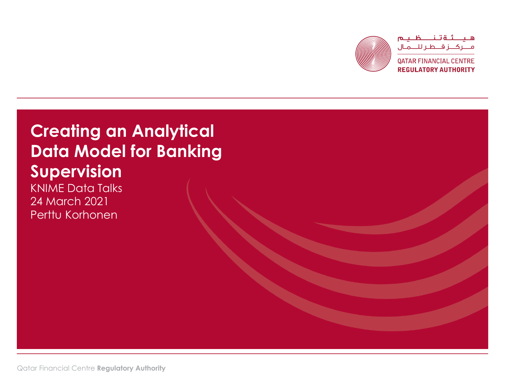

# **Creating an Analytical Data Model for Banking Supervision**

KNIME Data Talks 24 March 2021 Perttu Korhonen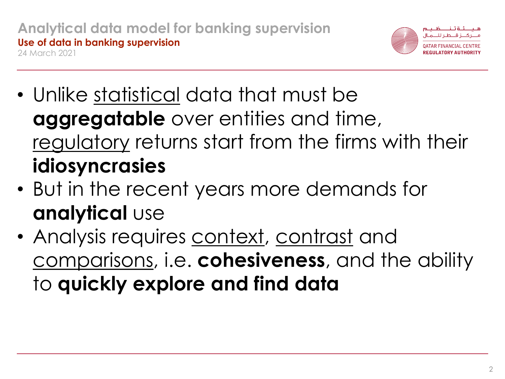

- Unlike statistical data that must be **aggregatable** over entities and time, regulatory returns start from the firms with their **idiosyncrasies**
- But in the recent years more demands for **analytical** use
- Analysis requires context, contrast and comparisons, i.e. **cohesiveness**, and the ability to **quickly explore and find data**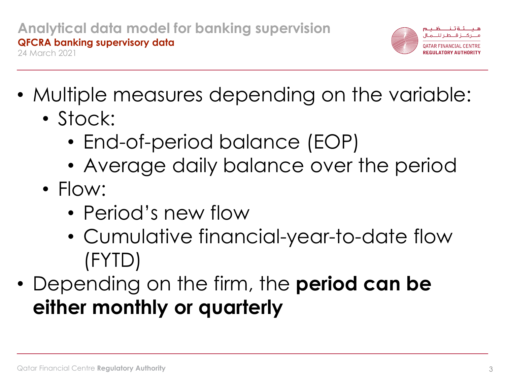

- Multiple measures depending on the variable:
	- Stock:
		- End-of-period balance (EOP)
		- Average daily balance over the period
	- Flow:
		- Period's new flow
		- Cumulative financial-year-to-date flow (FYTD)
- Depending on the firm, the **period can be either monthly or quarterly**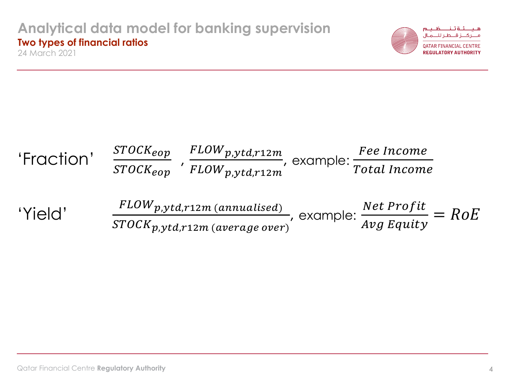#### **Analytical data model for banking supervision Two types of financial ratios** 24 March 2021



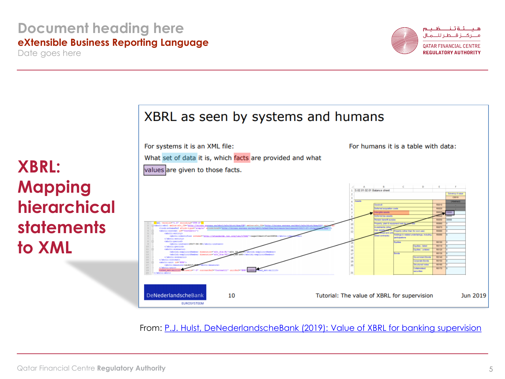## **Document heading here eXtensible Business Reporting Language**

Date goes here



أقتناظ وسما

**QATAR FINANCIAL CENTRE REGULATORY AUTHORITY** 

# **XBRL: Mapping hierarchical statements to XML**



From: P.J. Hulst, DeNederlandscheBank [\(2019\): Value of XBRL for banking supervision](http://2019.eurofiling.info/wp-content/uploads/2019-06-19_PaulHulst_DNB.pdf)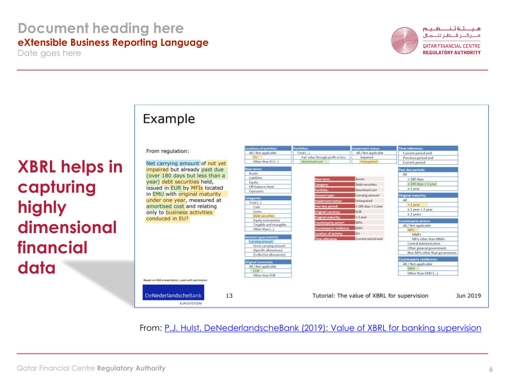### **Document heading here eXtensible Business Reporting Language**

Date goes here

**XBRL helps in** 

**dimensional** 

**capturing** 

**financial** 

**highly** 

**data**



لئةتناظليم المطالب

**QATAR FINANCIAL CENTRE REGULATORY AUTHORITY** 

## Example

From

Based on EB

**DeNe** 

Net c impai (over vear) *issue* in EM under amor only t condu

|                                      | Locations of activities:    | Portfolios:                       | <b>Impairment status:</b>                   | Time reference:                                            |          |
|--------------------------------------|-----------------------------|-----------------------------------|---------------------------------------------|------------------------------------------------------------|----------|
| regulation:                          | All / Not-applicable        | Total []                          | All / Not-applicable                        | Current period end                                         |          |
|                                      | <b>FU</b>                   | Fair value through profit or loss | Impaired                                    | Previous period end                                        |          |
| arrying amount of not yet            | Other than EU (             | Amortised cost                    | Unimpaired                                  | Current period                                             |          |
| red but already past due             | <b>Base terms:</b>          |                                   |                                             | Past due periods:                                          |          |
| 180 days but less than a             | Assets                      |                                   |                                             | All                                                        |          |
|                                      | Liabilities                 | <b>Base term</b>                  | <b>Assets</b>                               | $< 180$ days                                               |          |
| debt securities held,                | Equity<br>Off-balance sheet | Category:                         | <b>Debt</b> securities                      | $\geq 180$ days < 1 year                                   |          |
| d in EUR by MFIs located             | Exposures                   | Portfolio:                        | Amortised cost                              | $\geq 1$ year                                              |          |
| U with original maturity             |                             | <b>Amount type:</b>               | Carrying amount                             | <b>Original maturity:</b>                                  |          |
| one year, measured at                | Categories:                 | <b>Impairment status:</b>         | Unimpaired                                  | All                                                        |          |
| tised cost and relating              | Total (<br>Cash             | Past due period:                  | $\geq 180$ days < 1 year                    | $< 1$ year                                                 |          |
| to business activities               | Loans                       | <b>Original currency:</b>         | <b>EUR</b>                                  | $\geq 1$ year < 2 year                                     |          |
|                                      | Debt securities             | <b>Original maturity:</b>         | $< 1$ year                                  | $\geq$ 2 years                                             |          |
| iced in EU?                          | <b>Equity instruments</b>   | Counterparty sector:              | MFIs.                                       | <b>Counterparty sectors:</b>                               |          |
|                                      | Tangible and intangible     |                                   |                                             | All / Not-applicable                                       |          |
|                                      | Other than ()               | Counterparty residence:           | EMU                                         | MFIs                                                       |          |
|                                      | Amount types (metric):      | <b>Location of activity:</b>      | EU.                                         | MMFs                                                       |          |
|                                      | Carrying amount             | <b>Time reference:</b>            | Current period end                          | MFIs other than MMFs                                       |          |
|                                      | Gross carrying amount       |                                   |                                             | <b>Central Administration</b>                              |          |
|                                      | (Specific allowances)       |                                   |                                             | Other general government<br>Non-MFIs other than government |          |
|                                      | (Collective allowances)     |                                   |                                             |                                                            |          |
|                                      | <b>Original currencies:</b> |                                   |                                             | <b>Counterparty residences:</b>                            |          |
|                                      | All / Not-applicable        |                                   |                                             | All / Not-applicable                                       |          |
|                                      | <b>FUR</b>                  |                                   |                                             | <b>EMU</b>                                                 |          |
|                                      | Other than EUR              |                                   |                                             | Other than EMU ()                                          |          |
| A presentation, used with permission |                             |                                   |                                             |                                                            |          |
|                                      |                             |                                   |                                             |                                                            |          |
|                                      |                             |                                   |                                             |                                                            |          |
| derlandscheBank<br>13                |                             |                                   | Tutorial: The value of XBRL for supervision |                                                            | Jun 2019 |
| <b>EUROSYSTEEM</b>                   |                             |                                   |                                             |                                                            |          |

From: P.J. Hulst, DeNederlandscheBank [\(2019\): Value of XBRL for banking supervision](http://2019.eurofiling.info/wp-content/uploads/2019-06-19_PaulHulst_DNB.pdf)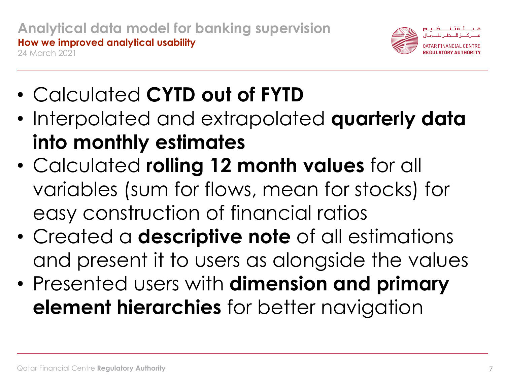

- Calculated **CYTD out of FYTD**
- Interpolated and extrapolated **quarterly data into monthly estimates**
- Calculated **rolling 12 month values** for all variables (sum for flows, mean for stocks) for easy construction of financial ratios
- Created a **descriptive note** of all estimations and present it to users as alongside the values
- Presented users with **dimension and primary element hierarchies** for better navigation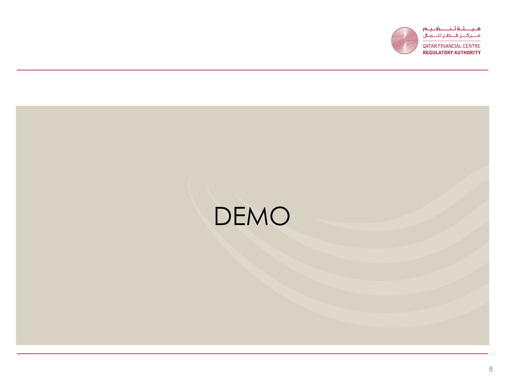



QATAR FINANCIAL CENTRE **REGULATORY AUTHORITY** 

# DEMO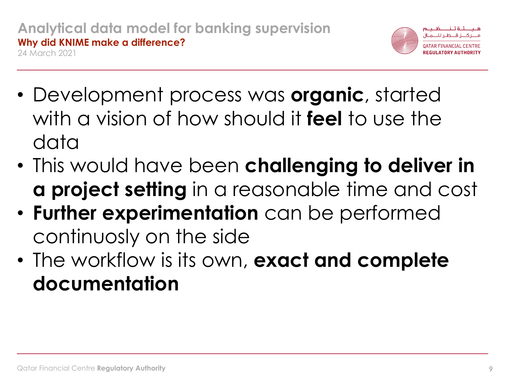

- Development process was **organic**, started with a vision of how should it **feel** to use the data
- This would have been **challenging to deliver in a project setting** in a reasonable time and cost
- **Further experimentation** can be performed continuosly on the side
- The workflow is its own, **exact and complete documentation**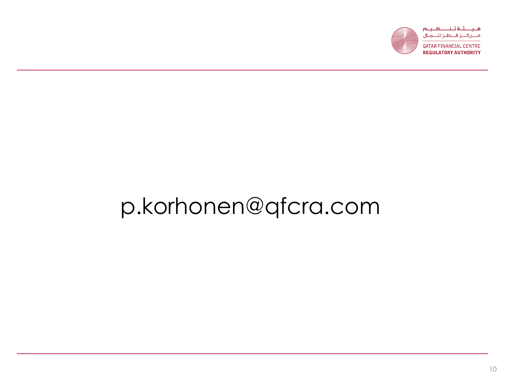

**QATAR FINANCIAL CENTRE REGULATORY AUTHORITY** 

# p.korhonen@qfcra.com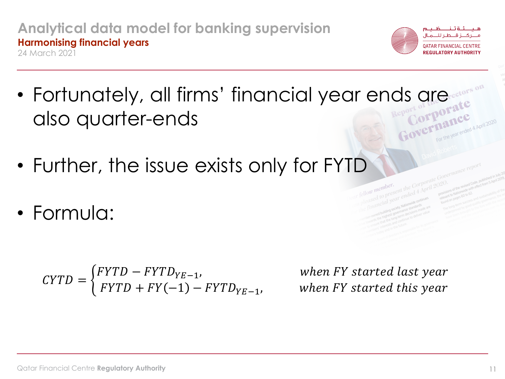#### **Analytical data model for banking supervision Harmonising financial years** 24 March 2021



**QATAR FINANCIAL REGULATORY AUTHORITY** 

- Fortunately, all firms' financial year ends are also quarter-ends the year ended 4 April 2020
- Further, the issue exists only for FYTD
- Formula:

$$
CYTD = \begin{cases} FYTD - FYTD_{YE-1}, \\ FYTD + FY(-1) - FYTD_{YE-1}, \end{cases}
$$

when FY started last year  $when FY started this year$